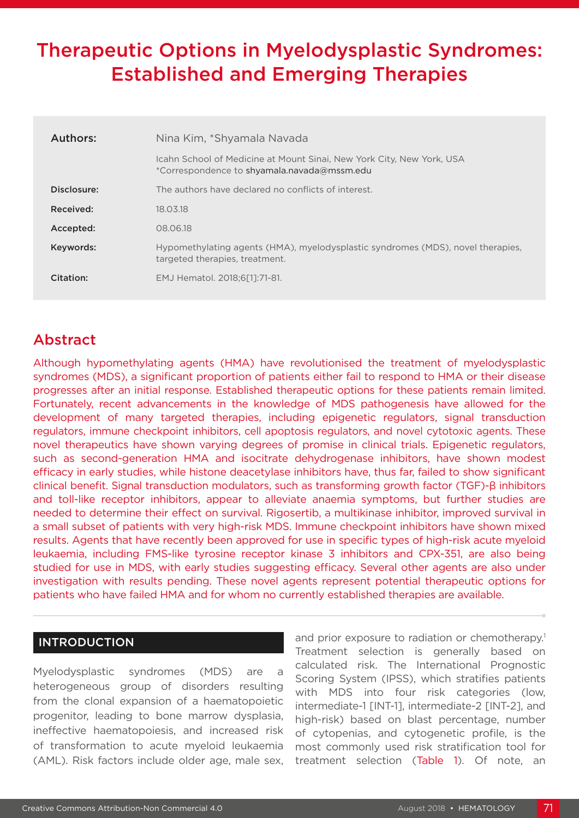# Therapeutic Options in Myelodysplastic Syndromes: Established and Emerging Therapies

| Authors:    | Nina Kim, *Shyamala Navada                                                                                           |
|-------------|----------------------------------------------------------------------------------------------------------------------|
|             | Icahn School of Medicine at Mount Sinai, New York City, New York, USA<br>*Correspondence to shyamala.navada@mssm.edu |
| Disclosure: | The authors have declared no conflicts of interest.                                                                  |
| Received:   | 18.03.18                                                                                                             |
| Accepted:   | 08.06.18                                                                                                             |
| Keywords:   | Hypomethylating agents (HMA), myelodysplastic syndromes (MDS), novel therapies,<br>targeted therapies, treatment.    |
| Citation:   | EMJ Hematol. 2018;6[1]:71-81.                                                                                        |

## Abstract

Although hypomethylating agents (HMA) have revolutionised the treatment of myelodysplastic syndromes (MDS), a significant proportion of patients either fail to respond to HMA or their disease progresses after an initial response. Established therapeutic options for these patients remain limited. Fortunately, recent advancements in the knowledge of MDS pathogenesis have allowed for the development of many targeted therapies, including epigenetic regulators, signal transduction regulators, immune checkpoint inhibitors, cell apoptosis regulators, and novel cytotoxic agents. These novel therapeutics have shown varying degrees of promise in clinical trials. Epigenetic regulators, such as second-generation HMA and isocitrate dehydrogenase inhibitors, have shown modest efficacy in early studies, while histone deacetylase inhibitors have, thus far, failed to show significant clinical benefit. Signal transduction modulators, such as transforming growth factor (TGF)-β inhibitors and toll-like receptor inhibitors, appear to alleviate anaemia symptoms, but further studies are needed to determine their effect on survival. Rigosertib, a multikinase inhibitor, improved survival in a small subset of patients with very high-risk MDS. Immune checkpoint inhibitors have shown mixed results. Agents that have recently been approved for use in specific types of high-risk acute myeloid leukaemia, including FMS-like tyrosine receptor kinase 3 inhibitors and CPX-351, are also being studied for use in MDS, with early studies suggesting efficacy. Several other agents are also under investigation with results pending. These novel agents represent potential therapeutic options for patients who have failed HMA and for whom no currently established therapies are available.

#### INTRODUCTION

Myelodysplastic syndromes (MDS) are a heterogeneous group of disorders resulting from the clonal expansion of a haematopoietic progenitor, leading to bone marrow dysplasia, ineffective haematopoiesis, and increased risk of transformation to acute myeloid leukaemia (AML). Risk factors include older age, male sex,

and prior exposure to radiation or chemotherapy.<sup>1</sup> Treatment selection is generally based on calculated risk. The International Prognostic Scoring System (IPSS), which stratifies patients with MDS into four risk categories (low, intermediate-1 [INT-1], intermediate-2 [INT-2], and high-risk) based on blast percentage, number of cytopenias, and cytogenetic profile, is the most commonly used risk stratification tool for treatment selection (Table 1). Of note, an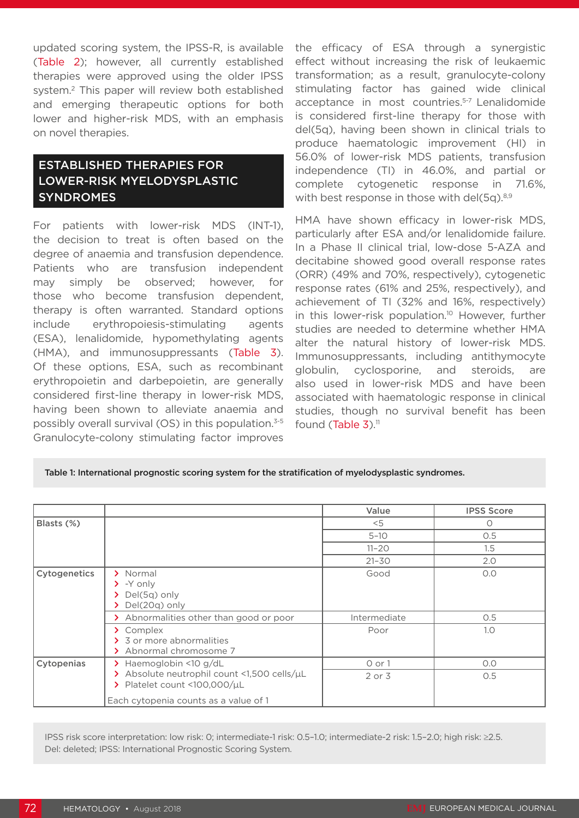updated scoring system, the IPSS-R, is available (Table 2); however, all currently established therapies were approved using the older IPSS system.2 This paper will review both established and emerging therapeutic options for both lower and higher-risk MDS, with an emphasis on novel therapies.

## ESTABLISHED THERAPIES FOR LOWER-RISK MYELODYSPLASTIC SYNDROMES

For patients with lower-risk MDS (INT-1), the decision to treat is often based on the degree of anaemia and transfusion dependence. Patients who are transfusion independent may simply be observed; however, for those who become transfusion dependent, therapy is often warranted. Standard options include erythropoiesis-stimulating agents (ESA), lenalidomide, hypomethylating agents (HMA), and immunosuppressants (Table 3). Of these options, ESA, such as recombinant erythropoietin and darbepoietin, are generally considered first-line therapy in lower-risk MDS, having been shown to alleviate anaemia and possibly overall survival (OS) in this population.3-5 Granulocyte-colony stimulating factor improves

the efficacy of ESA through a synergistic effect without increasing the risk of leukaemic transformation; as a result, granulocyte-colony stimulating factor has gained wide clinical acceptance in most countries.<sup>5-7</sup> Lenalidomide is considered first-line therapy for those with del(5q), having been shown in clinical trials to produce haematologic improvement (HI) in 56.0% of lower-risk MDS patients, transfusion independence (TI) in 46.0%, and partial or complete cytogenetic response in 71.6%, with best response in those with del(5q).<sup>8,9</sup>

HMA have shown efficacy in lower-risk MDS, particularly after ESA and/or lenalidomide failure. In a Phase II clinical trial, low-dose 5-AZA and decitabine showed good overall response rates (ORR) (49% and 70%, respectively), cytogenetic response rates (61% and 25%, respectively), and achievement of TI (32% and 16%, respectively) in this lower-risk population.<sup>10</sup> However, further studies are needed to determine whether HMA alter the natural history of lower-risk MDS. Immunosuppressants, including antithymocyte globulin, cyclosporine, and steroids, are also used in lower-risk MDS and have been associated with haematologic response in clinical studies, though no survival benefit has been found (Table  $3$ ).<sup>11</sup>

#### Table 1: International prognostic scoring system for the stratification of myelodysplastic syndromes.

|              |                                                                                                  | Value        | <b>IPSS Score</b> |
|--------------|--------------------------------------------------------------------------------------------------|--------------|-------------------|
| Blasts (%)   |                                                                                                  | $<$ 5        | $\circ$           |
|              |                                                                                                  | $5 - 10$     | O.5               |
|              |                                                                                                  | $11 - 20$    | 1.5               |
|              |                                                                                                  | $21 - 30$    | 2.0               |
| Cytogenetics | > Normal<br>$\sum$ -Y only<br>$\sum$ Del(5q) only<br>Del(20g) only                               | Good         | O.O               |
|              | > Abnormalities other than good or poor                                                          | Intermediate | O.5               |
|              | > Complex<br>> 3 or more abnormalities<br>> Abnormal chromosome 7                                | Poor         | 1.0               |
| Cytopenias   | Haemoglobin <10 g/dL<br>⋗                                                                        | $0$ or $1$   | O.O               |
|              | > Absolute neutrophil count <1,500 cells/uL<br>$\triangleright$ Platelet count <100,000/ $\mu$ L | $2$ or $3$   | O.5               |
|              | Each cytopenia counts as a value of 1                                                            |              |                   |

IPSS risk score interpretation: low risk: 0; intermediate-1 risk: 0.5–1.0; intermediate-2 risk: 1.5–2.0; high risk: ≥2.5. Del: deleted; IPSS: International Prognostic Scoring System.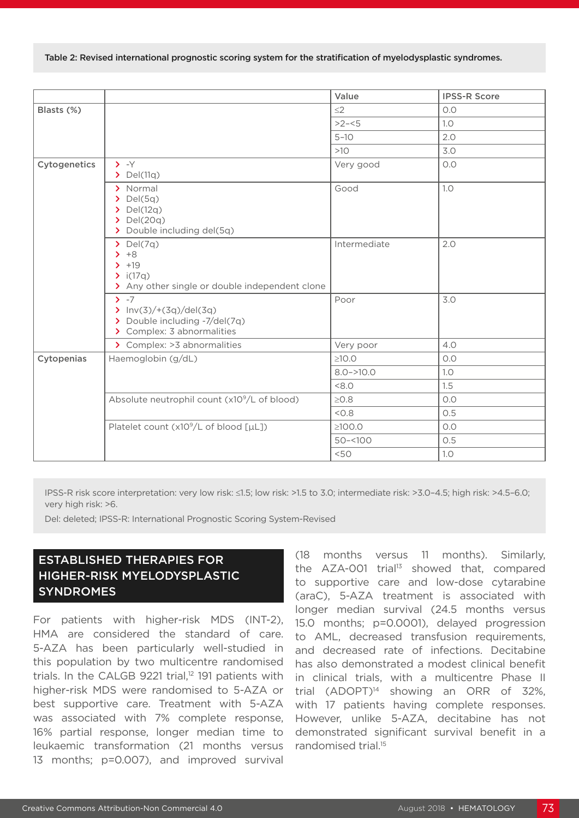Table 2: Revised international prognostic scoring system for the stratification of myelodysplastic syndromes.

|              |                                                                                                         | Value         | <b>IPSS-R Score</b> |
|--------------|---------------------------------------------------------------------------------------------------------|---------------|---------------------|
| Blasts (%)   |                                                                                                         | $\leq$ 2      | 0.0                 |
|              |                                                                                                         | $>2 - 5$      | 1.0                 |
|              |                                                                                                         | $5 - 10$      | 2.0                 |
|              |                                                                                                         | $>10$         | 3.0                 |
| Cytogenetics | $\rightarrow$ -Y<br>$\sum$ Del(11q)                                                                     | Very good     | O.O                 |
|              | > Normal<br>$\sum$ Del(5q)<br>$\sum$ Del(12q)<br>$\sum$ Del(20q)<br>> Double including del(5q)          | Good          | 1.0                 |
|              | $\sum$ Del(7q)<br>$+8$<br>$+19$<br>$\sum$ i(17q)<br>> Any other single or double independent clone      | Intermediate  | 2.0                 |
|              | $\sum -7$<br>$\sum$ Inv(3)/+(3q)/del(3q)<br>> Double including -7/del(7q)<br>> Complex: 3 abnormalities | Poor          | 3.0                 |
|              | > Complex: > 3 abnormalities                                                                            | Very poor     | 4.0                 |
| Cytopenias   | Haemoglobin (g/dL)                                                                                      | $\geq$ 10.0   | 0.0                 |
|              |                                                                                                         | $8.0 - >10.0$ | 1.0                 |
|              |                                                                                                         | < 8.0         | 1.5                 |
|              | Absolute neutrophil count (x10 <sup>9</sup> /L of blood)                                                | $\geq 0.8$    | O.O                 |
|              |                                                                                                         | < 0.8         | 0.5                 |
|              | Platelet count (x10 <sup>9</sup> /L of blood [µL])                                                      | $\geq 100.0$  | 0.0                 |
|              |                                                                                                         | $50 - 100$    | 0.5                 |
|              |                                                                                                         | <50           | 1.0                 |

IPSS-R risk score interpretation: very low risk: ≤1.5; low risk: >1.5 to 3.0; intermediate risk: >3.0–4.5; high risk: >4.5–6.0; very high risk: >6.

Del: deleted; IPSS-R: International Prognostic Scoring System-Revised

### ESTABLISHED THERAPIES FOR HIGHER-RISK MYELODYSPLASTIC SYNDROMES

For patients with higher-risk MDS (INT-2), HMA are considered the standard of care. 5-AZA has been particularly well-studied in this population by two multicentre randomised trials. In the CALGB 9221 trial, $12$  191 patients with higher-risk MDS were randomised to 5-AZA or best supportive care. Treatment with 5-AZA was associated with 7% complete response, 16% partial response, longer median time to leukaemic transformation (21 months versus 13 months; p=0.007), and improved survival

(18 months versus 11 months). Similarly, the  $AZA-OO1$  trial<sup>13</sup> showed that, compared to supportive care and low-dose cytarabine (araC), 5-AZA treatment is associated with longer median survival (24.5 months versus 15.0 months; p=0.0001), delayed progression to AML, decreased transfusion requirements, and decreased rate of infections. Decitabine has also demonstrated a modest clinical benefit in clinical trials, with a multicentre Phase II trial  $(ADOPT)^{14}$  showing an ORR of 32%, with 17 patients having complete responses. However, unlike 5-AZA, decitabine has not demonstrated significant survival benefit in a randomised trial.15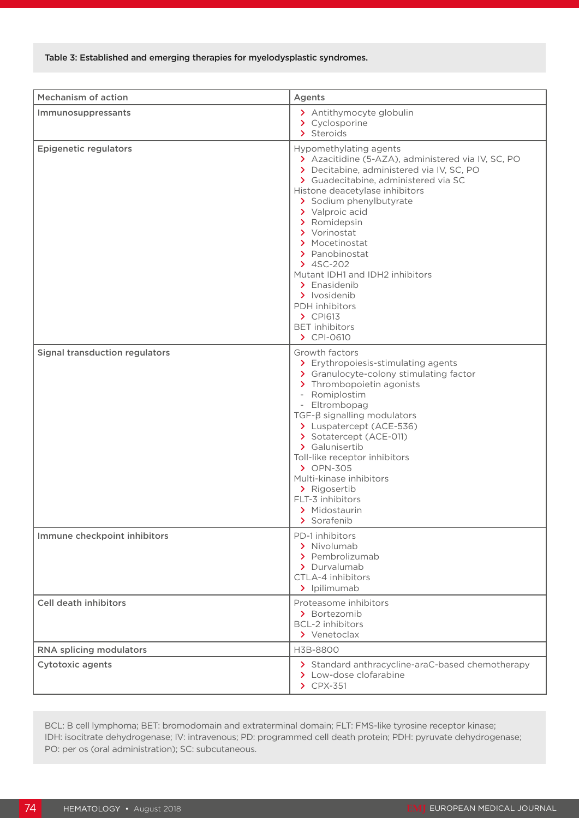| <b>Mechanism of action</b>            | Agents                                                                                                                                                                                                                                                                                                                                                                                                                                                                                  |
|---------------------------------------|-----------------------------------------------------------------------------------------------------------------------------------------------------------------------------------------------------------------------------------------------------------------------------------------------------------------------------------------------------------------------------------------------------------------------------------------------------------------------------------------|
| Immunosuppressants                    | > Antithymocyte globulin<br>> Cyclosporine<br>> Steroids                                                                                                                                                                                                                                                                                                                                                                                                                                |
| <b>Epigenetic regulators</b>          | Hypomethylating agents<br>> Azacitidine (5-AZA), administered via IV, SC, PO<br>> Decitabine, administered via IV, SC, PO<br>> Guadecitabine, administered via SC<br>Histone deacetylase inhibitors<br>> Sodium phenylbutyrate<br>> Valproic acid<br>> Romidepsin<br>> Vorinostat<br>> Mocetinostat<br>> Panobinostat<br>$24SC-202$<br>Mutant IDH1 and IDH2 inhibitors<br>> Enasidenib<br>> Ivosidenib<br><b>PDH</b> inhibitors<br>$\sum$ CPI613<br><b>BET</b> inhibitors<br>> CPI-0610 |
| <b>Signal transduction regulators</b> | Growth factors<br>> Erythropoiesis-stimulating agents<br>> Granulocyte-colony stimulating factor<br>> Thrombopoietin agonists<br>- Romiplostim<br>- Eltrombopag<br>$TGF-\beta$ signalling modulators<br>> Luspatercept (ACE-536)<br>> Sotatercept (ACE-011)<br>> Galunisertib<br>Toll-like receptor inhibitors<br>> OPN-305<br>Multi-kinase inhibitors<br>> Rigosertib<br>FLT-3 inhibitors<br>> Midostaurin<br>> Sorafenib                                                              |
| Immune checkpoint inhibitors          | PD-1 inhibitors<br>> Nivolumab<br>> Pembrolizumab<br>> Durvalumab<br>CTLA-4 inhibitors<br>> Ipilimumab                                                                                                                                                                                                                                                                                                                                                                                  |
| <b>Cell death inhibitors</b>          | Proteasome inhibitors<br>> Bortezomib<br><b>BCL-2</b> inhibitors<br>> Venetoclax                                                                                                                                                                                                                                                                                                                                                                                                        |
| RNA splicing modulators               | H3B-8800                                                                                                                                                                                                                                                                                                                                                                                                                                                                                |
| <b>Cytotoxic agents</b>               | > Standard anthracycline-araC-based chemotherapy<br>> Low-dose clofarabine<br>$\triangleright$ CPX-351                                                                                                                                                                                                                                                                                                                                                                                  |

BCL: B cell lymphoma; BET: bromodomain and extraterminal domain; FLT: FMS-like tyrosine receptor kinase; IDH: isocitrate dehydrogenase; IV: intravenous; PD: programmed cell death protein; PDH: pyruvate dehydrogenase; PO: per os (oral administration); SC: subcutaneous.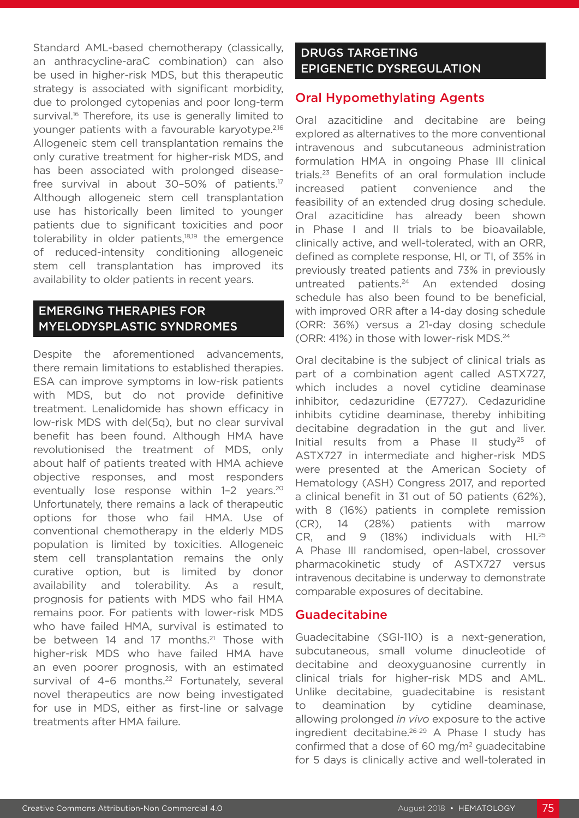Standard AML-based chemotherapy (classically, an anthracycline-araC combination) can also be used in higher-risk MDS, but this therapeutic strategy is associated with significant morbidity, due to prolonged cytopenias and poor long-term survival.<sup>16</sup> Therefore, its use is generally limited to younger patients with a favourable karyotype.2,16 Allogeneic stem cell transplantation remains the only curative treatment for higher-risk MDS, and has been associated with prolonged diseasefree survival in about 30-50% of patients.<sup>17</sup> Although allogeneic stem cell transplantation use has historically been limited to younger patients due to significant toxicities and poor tolerability in older patients,<sup>18,19</sup> the emergence of reduced-intensity conditioning allogeneic stem cell transplantation has improved its availability to older patients in recent years.

#### EMERGING THERAPIES FOR MYELODYSPLASTIC SYNDROMES

Despite the aforementioned advancements, there remain limitations to established therapies. ESA can improve symptoms in low-risk patients with MDS, but do not provide definitive treatment. Lenalidomide has shown efficacy in low-risk MDS with del(5q), but no clear survival benefit has been found. Although HMA have revolutionised the treatment of MDS, only about half of patients treated with HMA achieve objective responses, and most responders eventually lose response within 1-2 years.<sup>20</sup> Unfortunately, there remains a lack of therapeutic options for those who fail HMA. Use of conventional chemotherapy in the elderly MDS population is limited by toxicities. Allogeneic stem cell transplantation remains the only curative option, but is limited by donor availability and tolerability. As a result, prognosis for patients with MDS who fail HMA remains poor. For patients with lower-risk MDS who have failed HMA, survival is estimated to be between 14 and 17 months.<sup>21</sup> Those with higher-risk MDS who have failed HMA have an even poorer prognosis, with an estimated survival of 4-6 months.<sup>22</sup> Fortunately, several novel therapeutics are now being investigated for use in MDS, either as first-line or salvage treatments after HMA failure.

#### DRUGS TARGETING EPIGENETIC DYSREGULATION

#### Oral Hypomethylating Agents

Oral azacitidine and decitabine are being explored as alternatives to the more conventional intravenous and subcutaneous administration formulation HMA in ongoing Phase III clinical trials.23 Benefits of an oral formulation include increased patient convenience and the feasibility of an extended drug dosing schedule. Oral azacitidine has already been shown in Phase I and II trials to be bioavailable, clinically active, and well-tolerated, with an ORR, defined as complete response, HI, or TI, of 35% in previously treated patients and 73% in previously untreated patients.<sup>24</sup> An extended dosing schedule has also been found to be beneficial, with improved ORR after a 14-day dosing schedule (ORR: 36%) versus a 21-day dosing schedule (ORR: 41%) in those with lower-risk MDS.24

Oral decitabine is the subject of clinical trials as part of a combination agent called ASTX727, which includes a novel cytidine deaminase inhibitor, cedazuridine (E7727). Cedazuridine inhibits cytidine deaminase, thereby inhibiting decitabine degradation in the gut and liver. Initial results from a Phase II study<sup>25</sup> of ASTX727 in intermediate and higher-risk MDS were presented at the American Society of Hematology (ASH) Congress 2017, and reported a clinical benefit in 31 out of 50 patients (62%), with 8 (16%) patients in complete remission (CR), 14 (28%) patients with marrow CR, and 9 (18%) individuals with HI.25 A Phase III randomised, open-label, crossover pharmacokinetic study of ASTX727 versus intravenous decitabine is underway to demonstrate comparable exposures of decitabine.

#### **Guadecitabine**

Guadecitabine (SGI-110) is a next-generation, subcutaneous, small volume dinucleotide of decitabine and deoxyguanosine currently in clinical trials for higher-risk MDS and AML. Unlike decitabine, guadecitabine is resistant to deamination by cytidine deaminase, allowing prolonged *in vivo* exposure to the active ingredient decitabine.26-29 A Phase I study has confirmed that a dose of 60 mg/m2 guadecitabine for 5 days is clinically active and well-tolerated in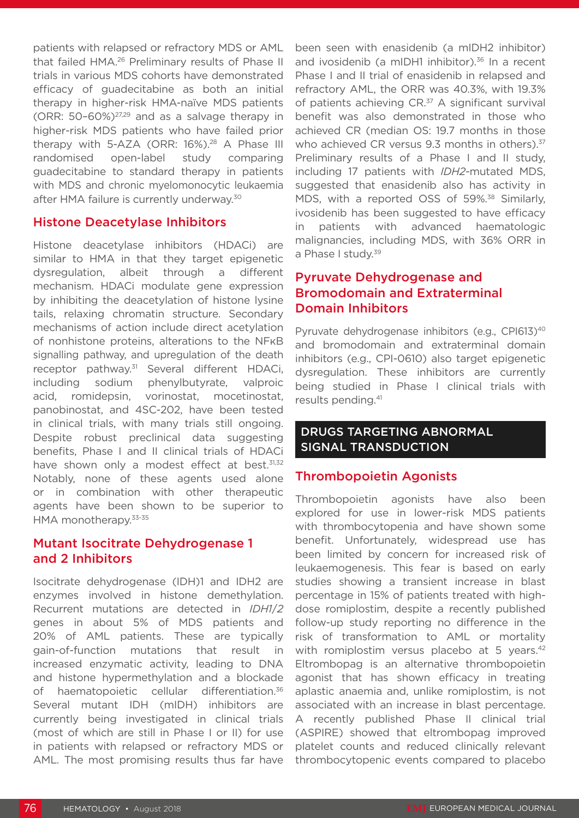patients with relapsed or refractory MDS or AML that failed HMA.<sup>26</sup> Preliminary results of Phase II trials in various MDS cohorts have demonstrated efficacy of guadecitabine as both an initial therapy in higher-risk HMA-naïve MDS patients  $(ORR: 50-60\%)^{27,29}$  and as a salvage therapy in higher-risk MDS patients who have failed prior therapy with 5-AZA (ORR: 16%).<sup>28</sup> A Phase III randomised open-label study comparing guadecitabine to standard therapy in patients with MDS and chronic myelomonocytic leukaemia after HMA failure is currently underway.<sup>30</sup>

#### Histone Deacetylase Inhibitors

Histone deacetylase inhibitors (HDACi) are similar to HMA in that they target epigenetic dysregulation, albeit through a different mechanism. HDACi modulate gene expression by inhibiting the deacetylation of histone lysine tails, relaxing chromatin structure. Secondary mechanisms of action include direct acetylation of nonhistone proteins, alterations to the NFκB signalling pathway, and upregulation of the death receptor pathway.31 Several different HDACi, including sodium phenylbutyrate, valproic acid, romidepsin, vorinostat, mocetinostat, panobinostat, and 4SC-202, have been tested in clinical trials, with many trials still ongoing. Despite robust preclinical data suggesting benefits, Phase I and II clinical trials of HDACi have shown only a modest effect at best.<sup>31,32</sup> Notably, none of these agents used alone or in combination with other therapeutic agents have been shown to be superior to HMA monotherapy.33-35

#### Mutant Isocitrate Dehydrogenase 1 and 2 Inhibitors

Isocitrate dehydrogenase (IDH)1 and IDH2 are enzymes involved in histone demethylation. Recurrent mutations are detected in *IDH1*/*2*  genes in about 5% of MDS patients and 20% of AML patients. These are typically gain-of-function mutations that result in increased enzymatic activity, leading to DNA and histone hypermethylation and a blockade of haematopoietic cellular differentiation.<sup>36</sup> Several mutant IDH (mIDH) inhibitors are currently being investigated in clinical trials (most of which are still in Phase I or II) for use in patients with relapsed or refractory MDS or AML. The most promising results thus far have

been seen with enasidenib (a mIDH2 inhibitor) and ivosidenib (a mIDH1 inhibitor).<sup>36</sup> In a recent Phase I and II trial of enasidenib in relapsed and refractory AML, the ORR was 40.3%, with 19.3% of patients achieving CR.<sup>37</sup> A significant survival benefit was also demonstrated in those who achieved CR (median OS: 19.7 months in those who achieved CR versus 9.3 months in others).<sup>37</sup> Preliminary results of a Phase I and II study, including 17 patients with *IDH2*-mutated MDS, suggested that enasidenib also has activity in MDS, with a reported OSS of 59%.<sup>38</sup> Similarly, ivosidenib has been suggested to have efficacy in patients with advanced haematologic malignancies, including MDS, with 36% ORR in a Phase I study.<sup>39</sup>

#### Pyruvate Dehydrogenase and Bromodomain and Extraterminal Domain Inhibitors

Pyruvate dehydrogenase inhibitors (e.g., CPI613)<sup>40</sup> and bromodomain and extraterminal domain inhibitors (e.g., CPI-0610) also target epigenetic dysregulation. These inhibitors are currently being studied in Phase I clinical trials with results pending.41

#### DRUGS TARGETING ABNORMAL SIGNAL TRANSDUCTION

#### Thrombopoietin Agonists

Thrombopoietin agonists have also been explored for use in lower-risk MDS patients with thrombocytopenia and have shown some benefit. Unfortunately, widespread use has been limited by concern for increased risk of leukaemogenesis. This fear is based on early studies showing a transient increase in blast percentage in 15% of patients treated with highdose romiplostim, despite a recently published follow-up study reporting no difference in the risk of transformation to AML or mortality with romiplostim versus placebo at 5 years.<sup>42</sup> Eltrombopag is an alternative thrombopoietin agonist that has shown efficacy in treating aplastic anaemia and, unlike romiplostim, is not associated with an increase in blast percentage. A recently published Phase II clinical trial (ASPIRE) showed that eltrombopag improved platelet counts and reduced clinically relevant thrombocytopenic events compared to placebo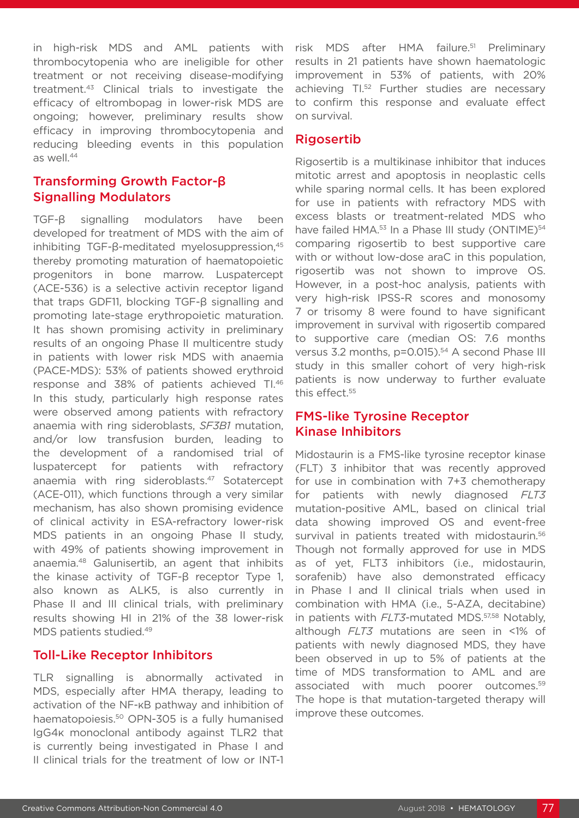in high-risk MDS and AML patients with thrombocytopenia who are ineligible for other treatment or not receiving disease-modifying treatment.43 Clinical trials to investigate the efficacy of eltrombopag in lower-risk MDS are ongoing; however, preliminary results show efficacy in improving thrombocytopenia and reducing bleeding events in this population as well.<sup>44</sup>

#### Transforming Growth Factor-β Signalling Modulators

TGF-β signalling modulators have been developed for treatment of MDS with the aim of inhibiting TGF- $\beta$ -meditated myelosuppression,<sup>45</sup> thereby promoting maturation of haematopoietic progenitors in bone marrow. Luspatercept (ACE-536) is a selective activin receptor ligand that traps GDF11, blocking TGF-β signalling and promoting late-stage erythropoietic maturation. It has shown promising activity in preliminary results of an ongoing Phase II multicentre study in patients with lower risk MDS with anaemia (PACE-MDS): 53% of patients showed erythroid response and 38% of patients achieved TI.46 In this study, particularly high response rates were observed among patients with refractory anaemia with ring sideroblasts, *SF3B1* mutation, and/or low transfusion burden, leading to the development of a randomised trial of luspatercept for patients with refractory anaemia with ring sideroblasts.<sup>47</sup> Sotatercept (ACE-011), which functions through a very similar mechanism, has also shown promising evidence of clinical activity in ESA-refractory lower-risk MDS patients in an ongoing Phase II study, with 49% of patients showing improvement in anaemia.48 Galunisertib, an agent that inhibits the kinase activity of TGF-β receptor Type 1, also known as ALK5, is also currently in Phase II and III clinical trials, with preliminary results showing HI in 21% of the 38 lower-risk MDS patients studied.<sup>49</sup>

#### Toll-Like Receptor Inhibitors

TLR signalling is abnormally activated in MDS, especially after HMA therapy, leading to activation of the NF-κB pathway and inhibition of haematopoiesis.<sup>50</sup> OPN-305 is a fully humanised IgG4κ monoclonal antibody against TLR2 that is currently being investigated in Phase I and II clinical trials for the treatment of low or INT-1

risk MDS after HMA failure.<sup>51</sup> Preliminary results in 21 patients have shown haematologic improvement in 53% of patients, with 20% achieving TI.<sup>52</sup> Further studies are necessary to confirm this response and evaluate effect on survival.

#### Rigosertib

Rigosertib is a multikinase inhibitor that induces mitotic arrest and apoptosis in neoplastic cells while sparing normal cells. It has been explored for use in patients with refractory MDS with excess blasts or treatment-related MDS who have failed HMA.<sup>53</sup> In a Phase III study (ONTIME)<sup>54</sup> comparing rigosertib to best supportive care with or without low-dose araC in this population, rigosertib was not shown to improve OS. However, in a post-hoc analysis, patients with very high-risk IPSS-R scores and monosomy 7 or trisomy 8 were found to have significant improvement in survival with rigosertib compared to supportive care (median OS: 7.6 months versus 3.2 months, p=0.015).<sup>54</sup> A second Phase III study in this smaller cohort of very high-risk patients is now underway to further evaluate this effect.<sup>55</sup>

#### FMS-like Tyrosine Receptor Kinase Inhibitors

Midostaurin is a FMS-like tyrosine receptor kinase (FLT) 3 inhibitor that was recently approved for use in combination with 7+3 chemotherapy for patients with newly diagnosed *FLT3* mutation-positive AML, based on clinical trial data showing improved OS and event-free survival in patients treated with midostaurin.<sup>56</sup> Though not formally approved for use in MDS as of yet, FLT3 inhibitors (i.e., midostaurin, sorafenib) have also demonstrated efficacy in Phase I and II clinical trials when used in combination with HMA (i.e., 5-AZA, decitabine) in patients with *FLT3*-mutated MDS.57,58 Notably, although *FLT3* mutations are seen in <1% of patients with newly diagnosed MDS, they have been observed in up to 5% of patients at the time of MDS transformation to AML and are associated with much poorer outcomes.59 The hope is that mutation-targeted therapy will improve these outcomes.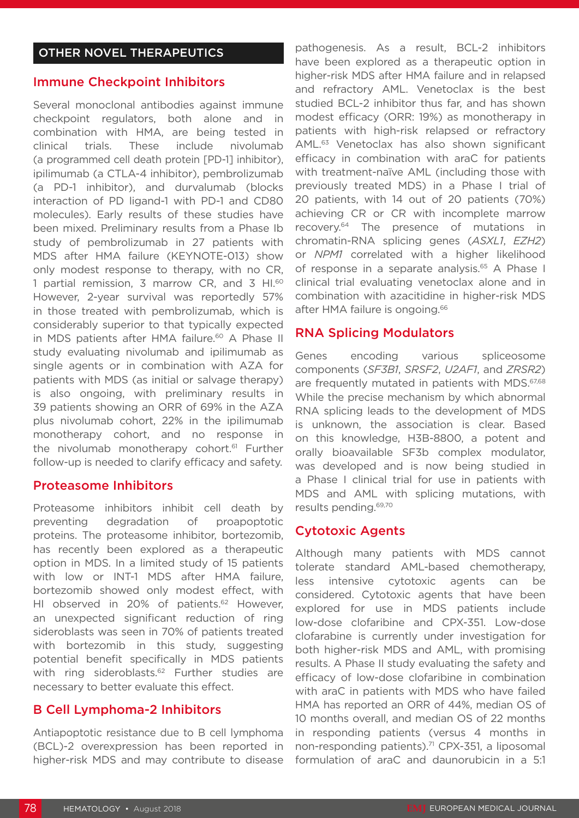#### Immune Checkpoint Inhibitors

Several monoclonal antibodies against immune checkpoint regulators, both alone and in combination with HMA, are being tested in clinical trials. These include nivolumab (a programmed cell death protein [PD-1] inhibitor), ipilimumab (a CTLA-4 inhibitor), pembrolizumab (a PD-1 inhibitor), and durvalumab (blocks interaction of PD ligand-1 with PD-1 and CD80 molecules). Early results of these studies have been mixed. Preliminary results from a Phase Ib study of pembrolizumab in 27 patients with MDS after HMA failure (KEYNOTE-013) show only modest response to therapy, with no CR, 1 partial remission, 3 marrow CR, and 3 HI.<sup>60</sup> However, 2-year survival was reportedly 57% in those treated with pembrolizumab, which is considerably superior to that typically expected in MDS patients after HMA failure.<sup>60</sup> A Phase II study evaluating nivolumab and ipilimumab as single agents or in combination with AZA for patients with MDS (as initial or salvage therapy) is also ongoing, with preliminary results in 39 patients showing an ORR of 69% in the AZA plus nivolumab cohort, 22% in the ipilimumab monotherapy cohort, and no response in the nivolumab monotherapy cohort.<sup>61</sup> Further follow-up is needed to clarify efficacy and safety.

#### Proteasome Inhibitors

Proteasome inhibitors inhibit cell death by preventing degradation of proapoptotic proteins. The proteasome inhibitor, bortezomib, has recently been explored as a therapeutic option in MDS. In a limited study of 15 patients with low or INT-1 MDS after HMA failure, bortezomib showed only modest effect, with HI observed in 20% of patients.<sup>62</sup> However, an unexpected significant reduction of ring sideroblasts was seen in 70% of patients treated with bortezomib in this study, suggesting potential benefit specifically in MDS patients with ring sideroblasts.<sup>62</sup> Further studies are necessary to better evaluate this effect.

#### B Cell Lymphoma-2 Inhibitors

Antiapoptotic resistance due to B cell lymphoma (BCL)-2 overexpression has been reported in higher-risk MDS and may contribute to disease

pathogenesis. As a result, BCL-2 inhibitors have been explored as a therapeutic option in higher-risk MDS after HMA failure and in relapsed and refractory AML. Venetoclax is the best studied BCL-2 inhibitor thus far, and has shown modest efficacy (ORR: 19%) as monotherapy in patients with high-risk relapsed or refractory AML.63 Venetoclax has also shown significant efficacy in combination with araC for patients with treatment-naïve AML (including those with previously treated MDS) in a Phase I trial of 20 patients, with 14 out of 20 patients (70%) achieving CR or CR with incomplete marrow recovery.64 The presence of mutations in chromatin-RNA splicing genes (*ASXL1*, *EZH2*) or *NPM1* correlated with a higher likelihood of response in a separate analysis.<sup>65</sup> A Phase I clinical trial evaluating venetoclax alone and in combination with azacitidine in higher-risk MDS after HMA failure is ongoing.<sup>66</sup>

#### RNA Splicing Modulators

Genes encoding various spliceosome components (*SF3B1*, *SRSF2*, *U2AF1*, and *ZRSR2*) are frequently mutated in patients with MDS.<sup>67,68</sup> While the precise mechanism by which abnormal RNA splicing leads to the development of MDS is unknown, the association is clear. Based on this knowledge, H3B-8800, a potent and orally bioavailable SF3b complex modulator, was developed and is now being studied in a Phase I clinical trial for use in patients with MDS and AML with splicing mutations, with results pending.69,70

#### Cytotoxic Agents

Although many patients with MDS cannot tolerate standard AML-based chemotherapy, less intensive cytotoxic agents can be considered. Cytotoxic agents that have been explored for use in MDS patients include low-dose clofaribine and CPX-351. Low-dose clofarabine is currently under investigation for both higher-risk MDS and AML, with promising results. A Phase II study evaluating the safety and efficacy of low-dose clofaribine in combination with araC in patients with MDS who have failed HMA has reported an ORR of 44%, median OS of 10 months overall, and median OS of 22 months in responding patients (versus 4 months in non-responding patients).<sup>71</sup> CPX-351, a liposomal formulation of araC and daunorubicin in a 5:1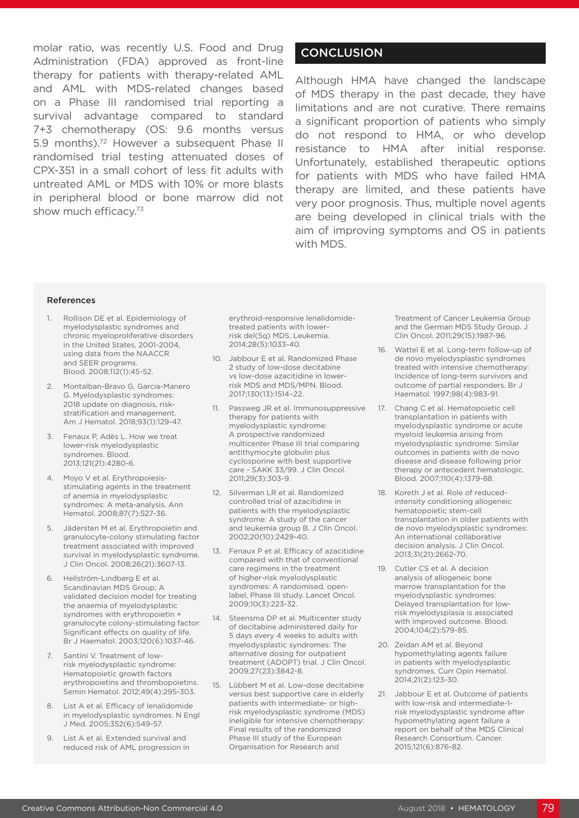molar ratio, was recently U.S. Food and Drug Administration (FDA) approved as front-line therapy for patients with therapy-related AML and AML with MDS-related changes based on a Phase III randomised trial reporting a survival advantage compared to standard 7+3 chemotherapy (OS: 9.6 months versus 5.9 months).<sup>72</sup> However a subsequent Phase II randomised trial testing attenuated doses of CPX-351 in a small cohort of less fit adults with untreated AML or MDS with 10% or more blasts in peripheral blood or bone marrow did not show much efficacy.<sup>73</sup>

#### **CONCLUSION**

Although HMA have changed the landscape of MDS therapy in the past decade, they have limitations and are not curative. There remains a significant proportion of patients who simply do not respond to HMA, or who develop resistance to HMA after initial response. Unfortunately, established therapeutic options for patients with MDS who have failed HMA therapy are limited, and these patients have very poor prognosis. Thus, multiple novel agents are being developed in clinical trials with the aim of improving symptoms and OS in patients with MDS.

#### References

- 1. Rollison DE et al. Epidemiology of myelodysplastic syndromes and chronic myeloproliferative disorders in the United States, 2001-2004, using data from the NAACCR and SEER programs. Blood. 2008;112(1):45-52.
- 2. Montalban-Bravo G, Garcia-Manero G. Myelodysplastic syndromes: 2018 update on diagnosis, riskstratification and management. Am J Hematol. 2018;93(1):129-47.
- 3. Fenaux P, Adès L. How we treat lower-risk myelodysplastic syndromes. Blood. 2013;121(21):4280-6.
- 4. Moyo V et al. Erythropoiesisstimulating agents in the treatment of anemia in myelodysplastic syndromes: A meta-analysis. Ann Hematol. 2008;87(7):527-36.
- 5. Jädersten M et al. Erythropoietin and granulocyte-colony stimulating factor treatment associated with improved survival in myelodysplastic syndrome. J Clin Oncol. 2008;26(21):3607-13.
- 6. Hellström-Lindberg E et al. Scandinavian MDS Group; A validated decision model for treating the anaemia of myelodysplastic syndromes with erythropoietin + granulocyte colony-stimulating factor: Significant effects on quality of life. Br J Haematol. 2003;120(6):1037-46.
- 7. Santini V. Treatment of lowrisk myelodysplastic syndrome: Hematopoietic growth factors erythropoietins and thrombopoietins. Semin Hematol. 2012;49(4):295-303.
- 8. List A et al. Efficacy of lenalidomide in myelodysplastic syndromes. N Engl J Med. 2005;352(6):549-57.
- 9. List A et al. Extended survival and reduced risk of AML progression in

erythroid-responsive lenalidomidetreated patients with lowerrisk del(5q) MDS. Leukemia. 2014;28(5):1033-40.

- 10. Jabbour E et al. Randomized Phase 2 study of low-dose decitabine vs low-dose azacitidine in lowerrisk MDS and MDS/MPN. Blood. 2017;130(13):1514–22.
- 11. Passweg JR et al. Immunosuppressive therapy for patients with myelodysplastic syndrome: A prospective randomized multicenter Phase III trial comparing antithymocyte globulin plus cyclosporine with best supportive care - SAKK 33/99. J Clin Oncol. 2011;29(3):303-9.
- 12. Silverman LR et al. Randomized controlled trial of azacitidine in patients with the myelodysplastic syndrome: A study of the cancer and leukemia group B. J Clin Oncol. 2002;20(10):2429-40.
- 13. Fenaux P et al. Efficacy of azacitidine compared with that of conventional care regimens in the treatment of higher-risk myelodysplastic syndromes: A randomised, openlabel, Phase III study. Lancet Oncol. 2009;10(3):223-32.
- 14. Steensma DP et al. Multicenter study of decitabine administered daily for 5 days every 4 weeks to adults with myelodysplastic syndromes: The alternative dosing for outpatient treatment (ADOPT) trial. J Clin Oncol. 2009;27(23):3842-8.
- 15. Lübbert M et al. Low-dose decitabine versus best supportive care in elderly patients with intermediate- or highrisk myelodysplastic syndrome (MDS) ineligible for intensive chemotherapy: Final results of the randomized Phase III study of the European Organisation for Research and

Treatment of Cancer Leukemia Group and the German MDS Study Group. J Clin Oncol. 2011;29(15):1987-96.

- 16. Wattel E et al. Long-term follow-up of de novo myelodysplastic syndromes treated with intensive chemotherapy: Incidence of long-term survivors and outcome of partial responders. Br J Haematol. 1997;98(4):983-91.
- 17. Chang C et al. Hematopoietic cell transplantation in patients with myelodysplastic syndrome or acute myeloid leukemia arising from myelodysplastic syndrome: Similar outcomes in patients with de novo disease and disease following prior therapy or antecedent hematologic. Blood. 2007;110(4):1379-88.
- 18. Koreth J et al. Role of reducedintensity conditioning allogeneic hematopoietic stem-cell transplantation in older patients with de novo myelodysplastic syndromes: An international collaborative decision analysis. J Clin Oncol. 2013;31(21):2662-70.
- 19. Cutler CS et al. A decision analysis of allogeneic bone marrow transplantation for the myelodysplastic syndromes: Delayed transplantation for lowrisk myelodysplasia is associated with improved outcome. Blood. 2004;104(2):579-85.
- 20. Zeidan AM et al. Beyond hypomethylating agents failure in patients with myelodysplastic syndromes. Curr Opin Hematol. 2014;21(2):123-30.
- 21. Jabbour E et al. Outcome of patients with low-risk and intermediate-1 risk myelodysplastic syndrome after hypomethylating agent failure a report on behalf of the MDS Clinical Research Consortium. Cancer. 2015;121(6):876-82.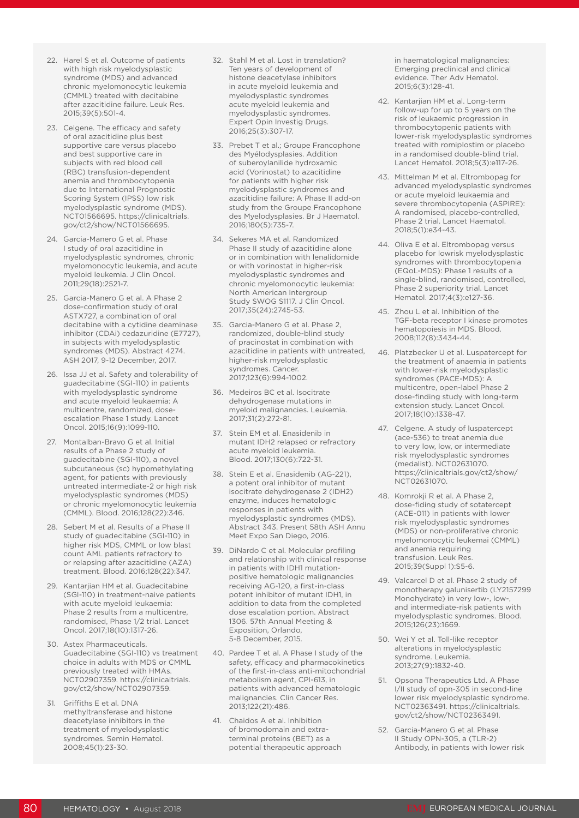- 22. Harel S et al. Outcome of patients with high risk myelodysplastic syndrome (MDS) and advanced chronic myelomonocytic leukemia (CMML) treated with decitabine after azacitidine failure. Leuk Res. 2015;39(5):501-4.
- 23. Celgene. The efficacy and safety of oral azacitidine plus best supportive care versus placebo and best supportive care in subjects with red blood cell (RBC) transfusion-dependent anemia and thrombocytopenia due to International Prognostic Scoring System (IPSS) low risk myelodysplastic syndrome (MDS). NCT01566695. https://clinicaltrials. gov/ct2/show/NCT01566695.
- 24. Garcia-Manero G et al. Phase I study of oral azacitidine in myelodysplastic syndromes, chronic myelomonocytic leukemia, and acute myeloid leukemia. J Clin Oncol. 2011;29(18):2521-7.
- 25. Garcia-Manero G et al. A Phase 2 dose-confirmation study of oral ASTX727, a combination of oral decitabine with a cytidine deaminase inhibitor (CDAi) cedazuridine (E7727), in subjects with myelodysplastic syndromes (MDS). Abstract 4274. ASH 2017, 9-12 December, 2017.
- 26. Issa JJ et al. Safety and tolerability of guadecitabine (SGI-110) in patients with myelodysplastic syndrome and acute myeloid leukaemia: A multicentre, randomized, doseescalation Phase 1 study. Lancet Oncol. 2015;16(9):1099-110.
- 27. Montalban-Bravo G et al. Initial results of a Phase 2 study of guadecitabine (SGI-110), a novel subcutaneous (sc) hypomethylating agent, for patients with previously untreated intermediate-2 or high risk myelodysplastic syndromes (MDS) or chronic myelomonocytic leukemia (CMML). Blood. 2016;128(22):346.
- 28. Sebert M et al. Results of a Phase II study of guadecitabine (SGI-110) in higher risk MDS, CMML or low blast count AML patients refractory to or relapsing after azacitidine (AZA) treatment. Blood. 2016;128(22):347.
- 29. Kantarjian HM et al. Guadecitabine (SGI-110) in treatment-naive patients with acute myeloid leukaemia: Phase 2 results from a multicentre, randomised, Phase 1/2 trial. Lancet Oncol. 2017;18(10):1317-26.
- 30. Astex Pharmaceuticals. Guadecitabine (SGI-110) vs treatment choice in adults with MDS or CMML previously treated with HMAs. NCT02907359. https://clinicaltrials. gov/ct2/show/NCT02907359.
- 31. Griffiths E et al. DNA methyltransferase and histone deacetylase inhibitors in the treatment of myelodysplastic syndromes. Semin Hematol. 2008;45(1):23-30.
- 32. Stahl M et al. Lost in translation? Ten years of development of histone deacetylase inhibitors in acute myeloid leukemia and myelodysplastic syndromes acute myeloid leukemia and myelodysplastic syndromes. Expert Opin Investig Drugs. 2016;25(3):307-17.
- 33. Prebet T et al.; Groupe Francophone des Myélodysplasies. Addition of suberoylanilide hydroxamic acid (Vorinostat) to azacitidine for patients with higher risk myelodysplastic syndromes and azacitidine failure: A Phase II add-on study from the Groupe Francophone des Myelodysplasies. Br J Haematol. 2016;180(5):735-7.
- 34. Sekeres MA et al. Randomized Phase II study of azacitidine alone or in combination with lenalidomide or with vorinostat in higher-risk myelodysplastic syndromes and chronic myelomonocytic leukemia: North American Intergroup Study SWOG S1117. J Clin Oncol. 2017;35(24):2745-53.
- 35. Garcia-Manero G et al. Phase 2, randomized, double-blind study of pracinostat in combination with azacitidine in patients with untreated, higher-risk myelodysplastic syndromes. Cancer. 2017;123(6):994-1002.
- 36. Medeiros BC et al. Isocitrate dehydrogenase mutations in myeloid malignancies. Leukemia. 2017;31(2):272-81.
- 37. Stein EM et al. Enasidenib in mutant IDH2 relapsed or refractory acute myeloid leukemia. Blood. 2017;130(6):722-31.
- 38. Stein E et al. Enasidenib (AG-221), a potent oral inhibitor of mutant isocitrate dehydrogenase 2 (IDH2) enzyme, induces hematologic responses in patients with myelodysplastic syndromes (MDS). Abstract 343. Present 58th ASH Annu Meet Expo San Diego, 2016.
- 39. DiNardo C et al. Molecular profiling and relationship with clinical response in patients with IDH1 mutationpositive hematologic malignancies receiving AG-120, a first-in-class potent inhibitor of mutant IDH1, in addition to data from the completed dose escalation portion. Abstract 1306. 57th Annual Meeting & Exposition, Orlando, 5-8 December, 2015.
- 40. Pardee T et al. A Phase I study of the safety, efficacy and pharmacokinetics of the first-in-class anti-mitochondrial metabolism agent, CPI-613, in patients with advanced hematologic malignancies. Clin Cancer Res. 2013;122(21):486.
- 41. Chaidos A et al. Inhibition of bromodomain and extraterminal proteins (BET) as a potential therapeutic approach

in haematological malignancies: Emerging preclinical and clinical evidence. Ther Adv Hematol. 2015;6(3):128-41.

- 42. Kantarjian HM et al. Long-term follow-up for up to 5 years on the risk of leukaemic progression in thrombocytopenic patients with lower-risk myelodysplastic syndromes treated with romiplostim or placebo in a randomised double-blind trial. Lancet Hematol. 2018;5(3):e117-26.
- 43. Mittelman M et al. Eltrombopag for advanced myelodysplastic syndromes or acute myeloid leukaemia and severe thrombocytopenia (ASPIRE): A randomised, placebo-controlled, Phase 2 trial. Lancet Haematol. 2018;5(1):e34-43.
- 44. Oliva E et al. Eltrombopag versus placebo for lowrisk myelodysplastic syndromes with thrombocytopenia (EQoL-MDS): Phase 1 results of a single-blind, randomised, controlled, Phase 2 superiority trial. Lancet Hematol. 2017;4(3):e127-36.
- 45. Zhou L et al. Inhibition of the TGF-beta receptor I kinase promotes hematopoiesis in MDS. Blood. 2008;112(8):3434-44.
- 46. Platzbecker U et al. Luspatercept for the treatment of anaemia in patients with lower-risk myelodysplastic syndromes (PACE-MDS): A multicentre, open-label Phase 2 dose-finding study with long-term extension study. Lancet Oncol. 2017;18(10):1338-47.
- 47. Celgene. A study of luspatercept (ace-536) to treat anemia due to very low, low, or intermediate risk myelodysplastic syndromes (medalist). NCT02631070. https://clinicaltrials.gov/ct2/show/ NCT02631070.
- 48. Komrokji R et al. A Phase 2, dose-fiding study of sotatercept (ACE-011) in patients with lower risk myelodysplastic syndromes (MDS) or non-proliferative chronic myelomonocytic leukemai (CMML) and anemia requiring transfusion. Leuk Res. 2015;39(Suppl 1):S5-6.
- 49. Valcarcel D et al. Phase 2 study of monotherapy galunisertib (LY2157299 Monohydrate) in very low-, low-, and intermediate-risk patients with myelodysplastic syndromes. Blood. 2015;126(23):1669.
- 50. Wei Y et al. Toll-like receptor alterations in myelodysplastic syndrome. Leukemia. 2013;27(9):1832-40.
- 51. Opsona Therapeutics Ltd. A Phase I/II study of opn-305 in second-line lower risk myelodysplastic syndrome. NCT02363491. https://clinicaltrials. gov/ct2/show/NCT02363491.
- 52. Garcia-Manero G et al. Phase II Study OPN-305, a (TLR-2) Antibody, in patients with lower risk